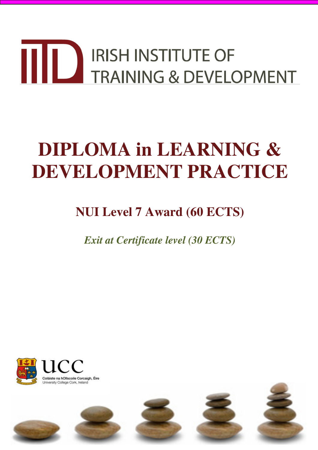

# **DIPLOMA in LEARNING & DEVELOPMENT PRACTICE**

# **NUI Level 7 Award (60 ECTS)**

*Exit at Certificate level (30 ECTS)* 



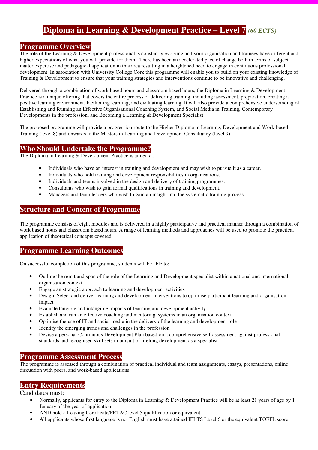# **Diploma in Learning & Development Practice – Level 7** (60 ECTS)

# **Programme Overview**

The role of the Learning & Development professional is constantly evolving and your organisation and trainees have different and higher expectations of what you will provide for them. There has been an accelerated pace of change both in terms of subject matter expertise and pedagogical application in this area resulting in a heightened need to engage in continuous professional development. In association with University College Cork this programme will enable you to build on your existing knowledge of Training & Development to ensure that your training strategies and interventions continue to be innovative and challenging.

Delivered through a combination of work based hours and classroom based hours, the Diploma in Learning & Development Practice is a unique offering that covers the entire process of delivering training, including assessment, preparation, creating a positive learning environment, facilitating learning, and evaluating learning. It will also provide a comprehensive understanding of Establishing and Running an Effective Organisational Coaching System, and Social Media in Training, Contemporary Developments in the profession, and Becoming a Learning & Development Specialist.

The proposed programme will provide a progression route to the Higher Diploma in Learning, Development and Work-based Training (level 8) and onwards to the Masters in Learning and Development Consultancy (level 9).

# **Who Should Undertake the Programme?**

The Diploma in Learning & Development Practice is aimed at:

- Individuals who have an interest in training and development and may wish to pursue it as a career.
- Individuals who hold training and development responsibilities in organisations.
- Individuals and teams involved in the design and delivery of training programmes.
- Consultants who wish to gain formal qualifications in training and development.
- Managers and team leaders who wish to gain an insight into the systematic training process.

# **Structure and Content of Programme**

The programme consists of eight modules and is delivered in a highly participative and practical manner through a combination of work based hours and classroom based hours. A range of learning methods and approaches will be used to promote the practical application of theoretical concepts covered.

# **Programme Learning Outcomes**

On successful completion of this programme, students will be able to:

- Outline the remit and span of the role of the Learning and Development specialist within a national and international organisation context
- Engage an strategic approach to learning and development activities
- Design, Select and deliver learning and development interventions to optimise participant learning and organisation impact
- Evaluate tangible and intangible impacts of learning and development activity
- Establish and run an effective coaching and mentoring systems in an organisation context
- Optimise the use of IT and social media in the delivery of the learning and development role
- Identify the emerging trends and challenges in the profession
- Devise a personal Continuous Development Plan based on a comprehensive self-assessment against professional standards and recognised skill sets in pursuit of lifelong development as a specialist.

# **Programme Assessment Process**

The programme is assessed through a combination of practical individual and team assignments, essays, presentations, online discussion with peers, and work-based applications

# **Entry Requirements**

Candidates must:

- Normally, applicants for entry to the Diploma in Learning & Development Practice will be at least 21 years of age by 1 January of the year of application;
- AND hold a Leaving Certificate/FETAC level 5 qualification or equivalent.
- All applicants whose first language is not English must have attained IELTS Level 6 or the equivalent TOEFL score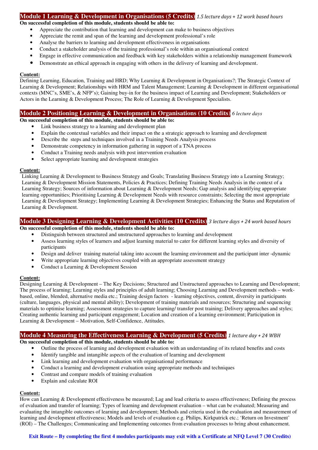# **Module 1 Learning & Development in Organisations (5 Credits)** 1.5 lecture days + 12 work based hours

**On successful completion of this module, students should be able to:** 

- Appreciate the contribution that learning and development can make to business objectives
- Appreciate the remit and span of the learning and development professional's role
- Analyse the barriers to learning and development effectiveness in organisations
- Conduct a stakeholder analysis of the training professional's role within an organisational context
- Engage in effective communication and feedback with key stakeholders within a relationship management framework
- Demonstrate an ethical approach in engaging with others in the delivery of learning and development.

#### **Content:**

Defining Learning, Education, Training and HRD; Why Learning & Development in Organisations?; The Strategic Context of Learning & Development; Relationships with HRM and Talent Management; Learning & Development in different organisational contexts (MNC's, SME's, & NFP's); Gaining buy-in for the business impact of Learning and Development; Stakeholders or Actors in the Learning & Development Process; The Role of Learning & Development Specialists.

#### **Module 2 Positioning Learning & Development in Organisations (10 Credits)** *6 lecture days*

**On successful completion of this module, students should be able to:**

- Link business strategy to a learning and development plan
	- Explain the contextual variables and their impact on the a strategic approach to learning and development
	- Describe the steps and techniques involved in a Training Needs Analysis process
	- Demonstrate competency in information gathering in support of a TNA process
	- Conduct a Training needs analysis with post intervention evaluation
	- Select appropriate learning and development strategies

#### **Content:**

Linking Learning & Development to Business Strategy and Goals; Translating Business Strategy into a Learning Strategy; Learning & Development Mission Statements, Policies & Practices; Defining Training Needs Analysis in the context of a Learning Strategy; Sources of information about Learning & Development Needs; Gap analysis and identifying appropriate learning opportunities; Prioritising Learning & Development Needs with resource constraints; Selecting the most appropriate Learning & Development Strategy; Implementing Learning & Development Strategies; Enhancing the Status and Reputation of Learning & Development.

#### **Module 3 Designing Learning & Development Activities (10 Credits)** 3 lecture days + 24 work based hours **On successful completion of this module, students should be able to:**

- Distinguish between structured and unstructured approaches to learning and development
- Assess learning styles of learners and adjust learning material to cater for different learning styles and diversity of participants
- Design and deliver training material taking into account the learning environment and the participant inter -dynamic
- Write appropriate learning objectives coupled with an appropriate assessment strategy
- Conduct a Learning & Development Session

#### **Content:**

Designing Learning & Development – The Key Decisions; Structured and Unstructured approaches to Learning and Development; The process of learning; Learning styles and principles of adult learning; Choosing Learning and Development methods – workbased, online, blended, alternative media etc.; Training design factors - learning objectives, content, diversity in participants (culture, languages, physical and mental ability); Development of training materials and resources; Structuring and sequencing materials to optimise learning; Assessment strategies to capture learning/ transfer post training; Delivery approaches and styles; Creating authentic learning and participant engagement; Location and creation of a learning environment; Participation in Learning & Development – Motivation, Self-Confidence, Attitudes.

# **Module 4 Measuring the Effectiveness Learning & Development (5 Credits)** 1 lecture day + 24 WBH

#### **On successful completion of this module, students should be able to:**

- Outline the process of learning and development evaluation with an understanding of its related benefits and costs
- Identify tangible and intangible aspects of the evaluation of learning and development
- Link learning and development evaluation with organisational performance
- Conduct a learning and development evaluation using appropriate methods and techniques
- Contrast and compare models of training evaluation
- Explain and calculate ROI

# **Content:**

How can Learning & Development effectiveness be measured; Lag and lead criteria to assess effectiveness; Defining the process of evaluation and transfer of learning; Types of learning and development evaluation – what can be evaluated; Measuring and evaluating the intangible outcomes of learning and development; Methods and criteria used in the evaluation and measurement of learning and development effectiveness; Models and levels of evaluation e.g. Philips, Kirkpatrick etc.; 'Return on Investment' (ROI) – The Challenges; Communicating and Implementing outcomes from evaluation processes to bring about enhancement.

# **Exit Route – By completing the first 4 modules participants may exit with a Certificate at NFQ Level 7 (30 Credits)**